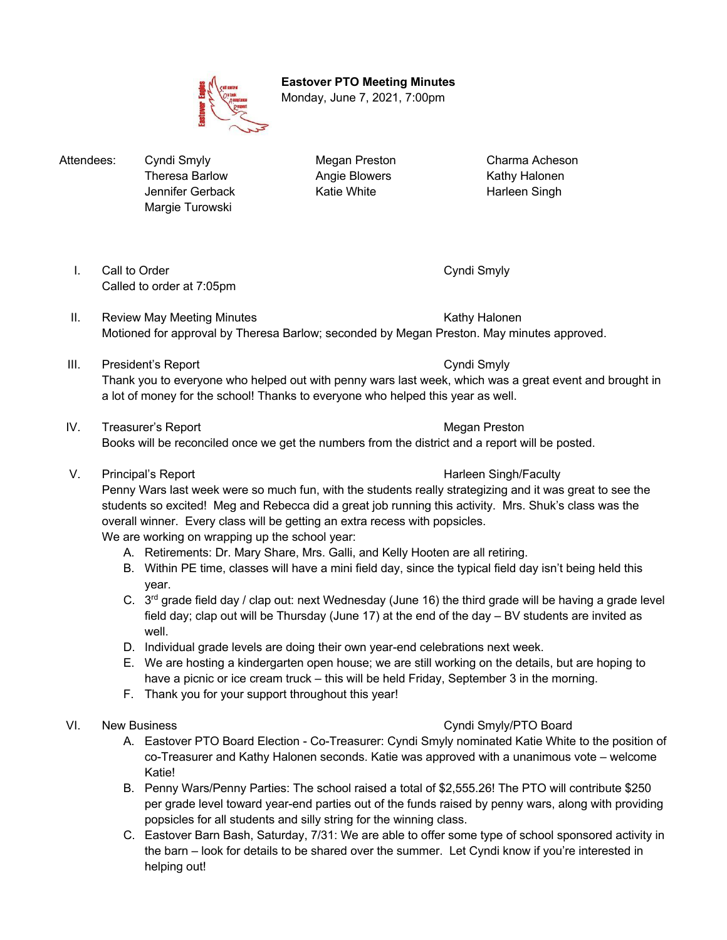**Eastover PTO Meeting Minutes** Monday, June 7, 2021, 7:00pm

Attendees: Cyndi Smyly **Megan Preston** Charma Acheson Margie Turowski

Theresa Barlow **Angie Blowers** Kathy Halonen Jennifer Gerback Katie White Harleen Singh

- I. Call to Order Cyndi Smyly Cyndi Smyly Called to order at 7:05pm
- II. Review May Meeting Minutes **Kathy Halonen** Kathy Halonen Motioned for approval by Theresa Barlow; seconded by Megan Preston. May minutes approved.
- III. President's Report Cyndi Smyly Thank you to everyone who helped out with penny wars last week, which was a great event and brought in a lot of money for the school! Thanks to everyone who helped this year as well.
- IV. Treasurer's Report **Megan Preston** Megan Preston Books will be reconciled once we get the numbers from the district and a report will be posted.
- V. Principal's Report **Harleen Singh/Faculty V.** Principal's Report

Penny Wars last week were so much fun, with the students really strategizing and it was great to see the students so excited! Meg and Rebecca did a great job running this activity. Mrs. Shuk's class was the overall winner. Every class will be getting an extra recess with popsicles.

We are working on wrapping up the school year:

- A. Retirements: Dr. Mary Share, Mrs. Galli, and Kelly Hooten are all retiring.
- B. Within PE time, classes will have a mini field day, since the typical field day isn't being held this year.
- C. 3<sup>rd</sup> grade field day / clap out: next Wednesday (June 16) the third grade will be having a grade level field day; clap out will be Thursday (June 17) at the end of the day – BV students are invited as well.
- D. Individual grade levels are doing their own year-end celebrations next week.
- E. We are hosting a kindergarten open house; we are still working on the details, but are hoping to have a picnic or ice cream truck – this will be held Friday, September 3 in the morning.
- F. Thank you for your support throughout this year!

# VI. New Business **New Solution** Section 1 and 200 and 200 and 200 and 200 and 200 and 200 and 200 and 200 and 200 and 200 and 200 and 200 and 200 and 200 and 200 and 200 and 200 and 200 and 200 and 200 and 200 and 200 and

- A. Eastover PTO Board Election Co-Treasurer: Cyndi Smyly nominated Katie White to the position of co-Treasurer and Kathy Halonen seconds. Katie was approved with a unanimous vote – welcome Katie!
- B. Penny Wars/Penny Parties: The school raised a total of \$2,555.26! The PTO will contribute \$250 per grade level toward year-end parties out of the funds raised by penny wars, along with providing popsicles for all students and silly string for the winning class.
- C. Eastover Barn Bash, Saturday, 7/31: We are able to offer some type of school sponsored activity in the barn – look for details to be shared over the summer. Let Cyndi know if you're interested in helping out!